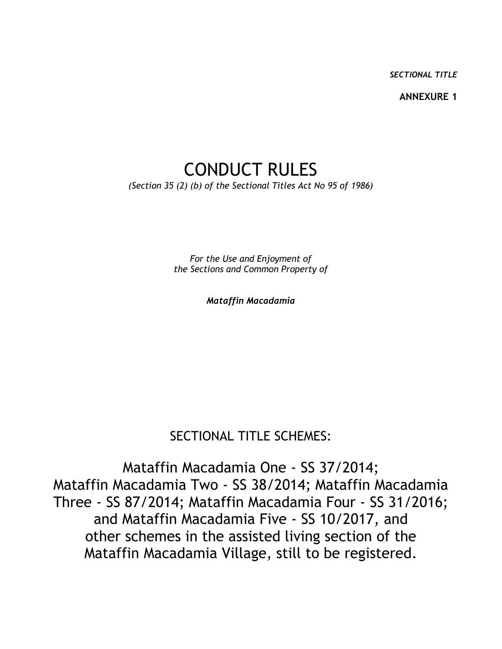*SECTIONAL TITLE*

**ANNEXURE 1**

# CONDUCT RULES *(Section 35 (2) (b) of the Sectional Titles Act No 95 of 1986)*

*For the Use and Enjoyment of the Sections and Common Property of*

*Mataffin Macadamia*

# SECTIONAL TITLE SCHEMES:

Mataffin Macadamia One - SS 37/2014; Mataffin Macadamia Two - SS 38/2014; Mataffin Macadamia Three - SS 87/2014; Mataffin Macadamia Four - SS 31/2016; and Mataffin Macadamia Five - SS 10/2017, and other schemes in the assisted living section of the Mataffin Macadamia Village, still to be registered.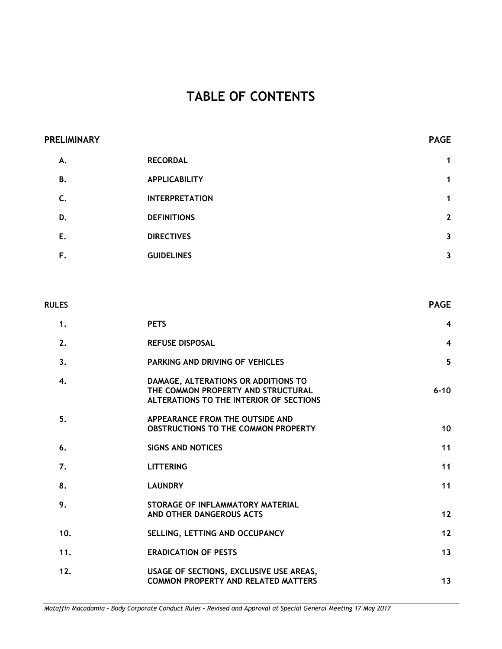# **TABLE OF CONTENTS**

| <b>PRELIMINARY</b> |                       | <b>PAGE</b>  |
|--------------------|-----------------------|--------------|
| Α.                 | <b>RECORDAL</b>       | 1            |
| В.                 | <b>APPLICABILITY</b>  | 1            |
| C.                 | <b>INTERPRETATION</b> | 1            |
| D.                 | <b>DEFINITIONS</b>    | $\mathbf{2}$ |
| Ε.                 | <b>DIRECTIVES</b>     | $\mathbf{3}$ |
| F.                 | <b>GUIDELINES</b>     | 3            |
|                    |                       |              |

| <b>RULES</b> |                                                                                                                      | <b>PAGE</b>             |
|--------------|----------------------------------------------------------------------------------------------------------------------|-------------------------|
| 1.           | <b>PETS</b>                                                                                                          | $\overline{\mathbf{4}}$ |
| 2.           | <b>REFUSE DISPOSAL</b>                                                                                               | $\overline{\mathbf{4}}$ |
| 3.           | <b>PARKING AND DRIVING OF VEHICLES</b>                                                                               | 5                       |
| 4.           | DAMAGE, ALTERATIONS OR ADDITIONS TO<br>THE COMMON PROPERTY AND STRUCTURAL<br>ALTERATIONS TO THE INTERIOR OF SECTIONS | $6 - 10$                |
| 5.           | APPEARANCE FROM THE OUTSIDE AND<br>OBSTRUCTIONS TO THE COMMON PROPERTY                                               | 10                      |
| 6.           | <b>SIGNS AND NOTICES</b>                                                                                             | 11                      |
| 7.           | <b>LITTERING</b>                                                                                                     | 11                      |
| 8.           | <b>LAUNDRY</b>                                                                                                       | 11                      |
| 9.           | STORAGE OF INFLAMMATORY MATERIAL<br>AND OTHER DANGEROUS ACTS                                                         | 12                      |
| 10.          | SELLING, LETTING AND OCCUPANCY                                                                                       | 12                      |
| 11.          | <b>ERADICATION OF PESTS</b>                                                                                          | 13                      |
| 12.          | USAGE OF SECTIONS, EXCLUSIVE USE AREAS,<br><b>COMMON PROPERTY AND RELATED MATTERS</b>                                | 13                      |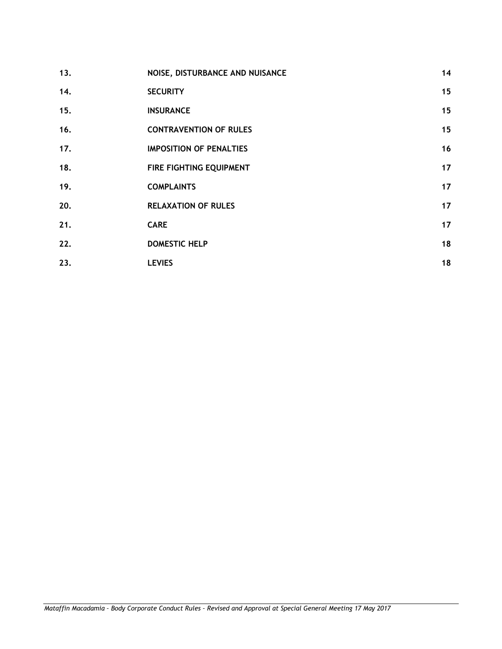| 13. | NOISE, DISTURBANCE AND NUISANCE | 14 |
|-----|---------------------------------|----|
| 14. | <b>SECURITY</b>                 | 15 |
| 15. | <b>INSURANCE</b>                | 15 |
| 16. | <b>CONTRAVENTION OF RULES</b>   | 15 |
| 17. | <b>IMPOSITION OF PENALTIES</b>  | 16 |
| 18. | FIRE FIGHTING EQUIPMENT         | 17 |
| 19. | <b>COMPLAINTS</b>               | 17 |
| 20. | <b>RELAXATION OF RULES</b>      | 17 |
| 21. | <b>CARE</b>                     | 17 |
| 22. | <b>DOMESTIC HELP</b>            | 18 |
| 23. | <b>LEVIES</b>                   | 18 |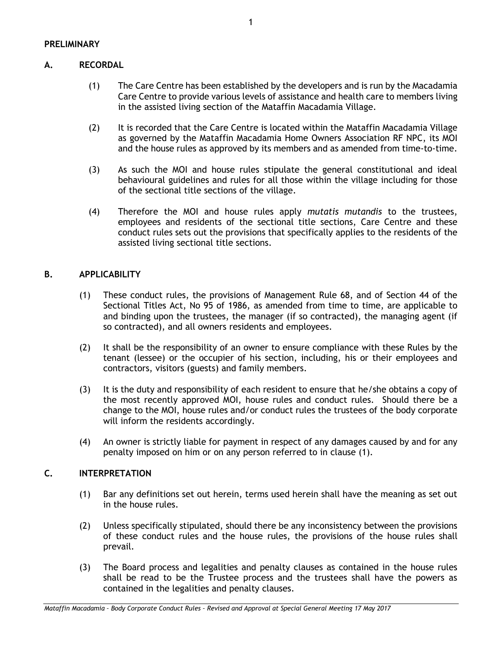# **A. RECORDAL**

- (1) The Care Centre has been established by the developers and is run by the Macadamia Care Centre to provide various levels of assistance and health care to members living in the assisted living section of the Mataffin Macadamia Village.
- (2) It is recorded that the Care Centre is located within the Mataffin Macadamia Village as governed by the Mataffin Macadamia Home Owners Association RF NPC, its MOI and the house rules as approved by its members and as amended from time-to-time.
- (3) As such the MOI and house rules stipulate the general constitutional and ideal behavioural guidelines and rules for all those within the village including for those of the sectional title sections of the village.
- (4) Therefore the MOI and house rules apply *mutatis mutandis* to the trustees, employees and residents of the sectional title sections, Care Centre and these conduct rules sets out the provisions that specifically applies to the residents of the assisted living sectional title sections.

# **B. APPLICABILITY**

- (1) These conduct rules, the provisions of Management Rule 68, and of Section 44 of the Sectional Titles Act, No 95 of 1986, as amended from time to time, are applicable to and binding upon the trustees, the manager (if so contracted), the managing agent (if so contracted), and all owners residents and employees.
- <span id="page-3-0"></span>(2) It shall be the responsibility of an owner to ensure compliance with these Rules by the tenant (lessee) or the occupier of his section, including, his or their employees and contractors, visitors (guests) and family members.
- (3) It is the duty and responsibility of each resident to ensure that he/she obtains a copy of the most recently approved MOI, house rules and conduct rules. Should there be a change to the MOI, house rules and/or conduct rules the trustees of the body corporate will inform the residents accordingly.
- (4) An owner is strictly liable for payment in respect of any damages caused by and for any penalty imposed on him or on any person referred to in clause [\(1\).](#page-3-0)

# **C. INTERPRETATION**

- (1) Bar any definitions set out herein, terms used herein shall have the meaning as set out in the house rules.
- (2) Unless specifically stipulated, should there be any inconsistency between the provisions of these conduct rules and the house rules, the provisions of the house rules shall prevail.
- (3) The Board process and legalities and penalty clauses as contained in the house rules shall be read to be the Trustee process and the trustees shall have the powers as contained in the legalities and penalty clauses.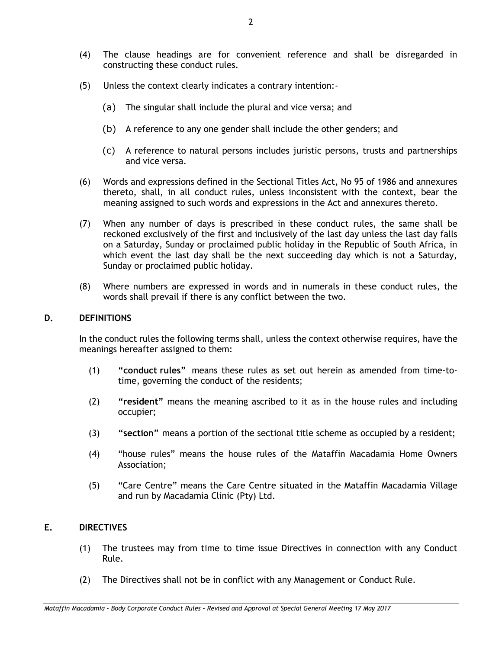- (4) The clause headings are for convenient reference and shall be disregarded in constructing these conduct rules.
- (5) Unless the context clearly indicates a contrary intention:-
	- (a) The singular shall include the plural and vice versa; and
	- (b) A reference to any one gender shall include the other genders; and
	- (c) A reference to natural persons includes juristic persons, trusts and partnerships and vice versa.
- (6) Words and expressions defined in the Sectional Titles Act, No 95 of 1986 and annexures thereto, shall, in all conduct rules, unless inconsistent with the context, bear the meaning assigned to such words and expressions in the Act and annexures thereto.
- (7) When any number of days is prescribed in these conduct rules, the same shall be reckoned exclusively of the first and inclusively of the last day unless the last day falls on a Saturday, Sunday or proclaimed public holiday in the Republic of South Africa, in which event the last day shall be the next succeeding day which is not a Saturday, Sunday or proclaimed public holiday.
- (8) Where numbers are expressed in words and in numerals in these conduct rules, the words shall prevail if there is any conflict between the two.

## **D. DEFINITIONS**

In the conduct rules the following terms shall, unless the context otherwise requires, have the meanings hereafter assigned to them:

- (1) **"conduct rules"** means these rules as set out herein as amended from time-totime, governing the conduct of the residents;
- (2) **"resident"** means the meaning ascribed to it as in the house rules and including occupier;
- (3) **"section"** means a portion of the sectional title scheme as occupied by a resident;
- (4) "house rules" means the house rules of the Mataffin Macadamia Home Owners Association;
- (5) "Care Centre" means the Care Centre situated in the Mataffin Macadamia Village and run by Macadamia Clinic (Pty) Ltd.

## **E. DIRECTIVES**

- (1) The trustees may from time to time issue Directives in connection with any Conduct Rule.
- (2) The Directives shall not be in conflict with any Management or Conduct Rule.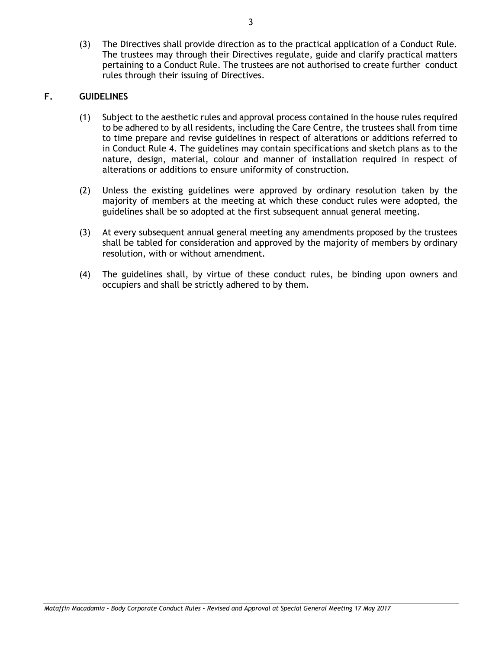(3) The Directives shall provide direction as to the practical application of a Conduct Rule. The trustees may through their Directives regulate, guide and clarify practical matters pertaining to a Conduct Rule. The trustees are not authorised to create further conduct rules through their issuing of Directives.

## **F. GUIDELINES**

- (1) Subject to the aesthetic rules and approval process contained in the house rules required to be adhered to by all residents, including the Care Centre, the trustees shall from time to time prepare and revise guidelines in respect of alterations or additions referred to in Conduct Rule [4.](#page-8-0) The guidelines may contain specifications and sketch plans as to the nature, design, material, colour and manner of installation required in respect of alterations or additions to ensure uniformity of construction.
- (2) Unless the existing guidelines were approved by ordinary resolution taken by the majority of members at the meeting at which these conduct rules were adopted, the guidelines shall be so adopted at the first subsequent annual general meeting.
- (3) At every subsequent annual general meeting any amendments proposed by the trustees shall be tabled for consideration and approved by the majority of members by ordinary resolution, with or without amendment.
- (4) The guidelines shall, by virtue of these conduct rules, be binding upon owners and occupiers and shall be strictly adhered to by them.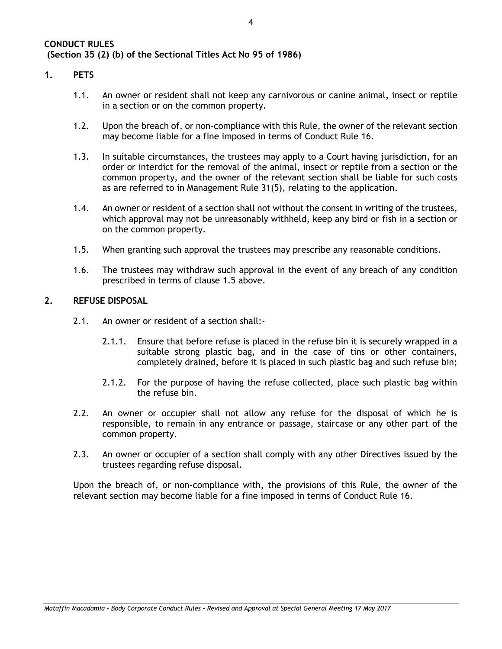#### <span id="page-6-1"></span>**1. PETS**

- 1.1. An owner or resident shall not keep any carnivorous or canine animal, insect or reptile in a section or on the common property.
- 1.2. Upon the breach of, or non-compliance with this Rule, the owner of the relevant section may become liable for a fine imposed in terms of Conduct Rule [16.](#page-17-0)
- 1.3. In suitable circumstances, the trustees may apply to a Court having jurisdiction, for an order or interdict for the removal of the animal, insect or reptile from a section or the common property, and the owner of the relevant section shall be liable for such costs as are referred to in Management Rule 31(5), relating to the application.
- 1.4. An owner or resident of a section shall not without the consent in writing of the trustees, which approval may not be unreasonably withheld, keep any bird or fish in a section or on the common property.
- <span id="page-6-0"></span>1.5. When granting such approval the trustees may prescribe any reasonable conditions.
- 1.6. The trustees may withdraw such approval in the event of any breach of any condition prescribed in terms of clause [1.5](#page-6-0) above.

#### **2. REFUSE DISPOSAL**

- 2.1. An owner or resident of a section shall:-
	- 2.1.1. Ensure that before refuse is placed in the refuse bin it is securely wrapped in a suitable strong plastic bag, and in the case of tins or other containers, completely drained, before it is placed in such plastic bag and such refuse bin;
	- 2.1.2. For the purpose of having the refuse collected, place such plastic bag within the refuse bin.
- 2.2. An owner or occupier shall not allow any refuse for the disposal of which he is responsible, to remain in any entrance or passage, staircase or any other part of the common property.
- 2.3. An owner or occupier of a section shall comply with any other Directives issued by the trustees regarding refuse disposal.

Upon the breach of, or non-compliance with, the provisions of this Rule, the owner of the relevant section may become liable for a fine imposed in terms of Conduct Rule [16.](#page-17-0)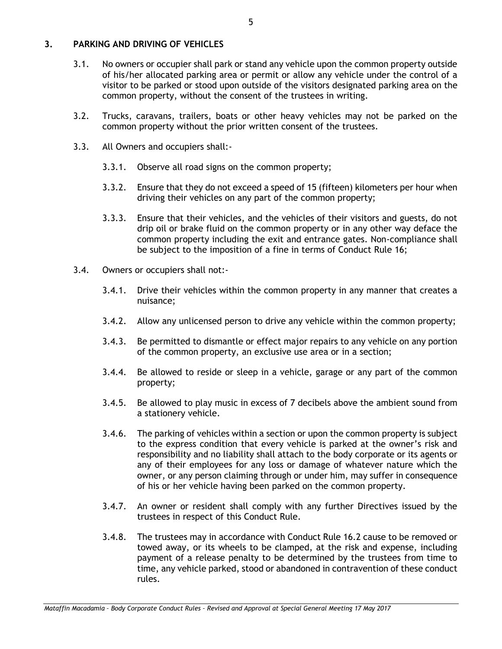#### <span id="page-7-0"></span>**3. PARKING AND DRIVING OF VEHICLES**

- 3.1. No owners or occupier shall park or stand any vehicle upon the common property outside of his/her allocated parking area or permit or allow any vehicle under the control of a visitor to be parked or stood upon outside of the visitors designated parking area on the common property, without the consent of the trustees in writing.
- 3.2. Trucks, caravans, trailers, boats or other heavy vehicles may not be parked on the common property without the prior written consent of the trustees.
- 3.3. All Owners and occupiers shall:-
	- 3.3.1. Observe all road signs on the common property;
	- 3.3.2. Ensure that they do not exceed a speed of 15 (fifteen) kilometers per hour when driving their vehicles on any part of the common property;
	- 3.3.3. Ensure that their vehicles, and the vehicles of their visitors and guests, do not drip oil or brake fluid on the common property or in any other way deface the common property including the exit and entrance gates. Non-compliance shall be subject to the imposition of a fine in terms of Conduct Rule [16;](#page-17-0)
- 3.4. Owners or occupiers shall not:-
	- 3.4.1. Drive their vehicles within the common property in any manner that creates a nuisance;
	- 3.4.2. Allow any unlicensed person to drive any vehicle within the common property;
	- 3.4.3. Be permitted to dismantle or effect major repairs to any vehicle on any portion of the common property, an exclusive use area or in a section;
	- 3.4.4. Be allowed to reside or sleep in a vehicle, garage or any part of the common property;
	- 3.4.5. Be allowed to play music in excess of 7 decibels above the ambient sound from a stationery vehicle.
	- 3.4.6. The parking of vehicles within a section or upon the common property is subject to the express condition that every vehicle is parked at the owner's risk and responsibility and no liability shall attach to the body corporate or its agents or any of their employees for any loss or damage of whatever nature which the owner, or any person claiming through or under him, may suffer in consequence of his or her vehicle having been parked on the common property.
	- 3.4.7. An owner or resident shall comply with any further Directives issued by the trustees in respect of this Conduct Rule.
	- 3.4.8. The trustees may in accordance with Conduct Rule [16.2](#page-17-1) cause to be removed or towed away, or its wheels to be clamped, at the risk and expense, including payment of a release penalty to be determined by the trustees from time to time, any vehicle parked, stood or abandoned in contravention of these conduct rules.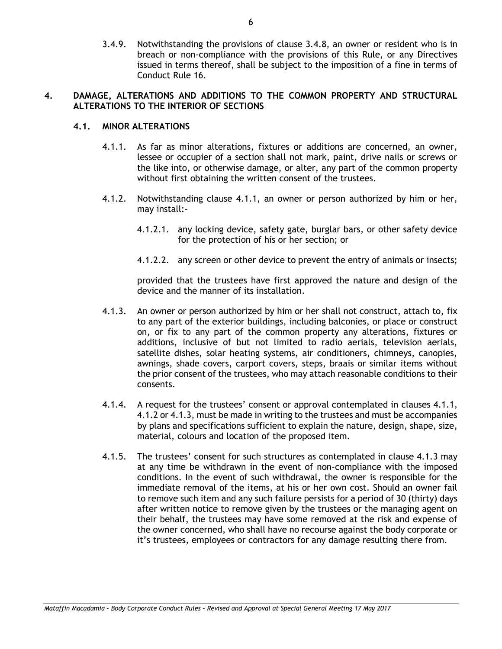3.4.9. Notwithstanding the provisions of clause 3.4.8, an owner or resident who is in breach or non-compliance with the provisions of this Rule, or any Directives issued in terms thereof, shall be subject to the imposition of a fine in terms of Conduct Rule [16.](#page-17-0)

#### <span id="page-8-0"></span>**4. DAMAGE, ALTERATIONS AND ADDITIONS TO THE COMMON PROPERTY AND STRUCTURAL ALTERATIONS TO THE INTERIOR OF SECTIONS**

## <span id="page-8-1"></span>**4.1. MINOR ALTERATIONS**

- 4.1.1. As far as minor alterations, fixtures or additions are concerned, an owner, lessee or occupier of a section shall not mark, paint, drive nails or screws or the like into, or otherwise damage, or alter, any part of the common property without first obtaining the written consent of the trustees.
- <span id="page-8-2"></span>4.1.2. Notwithstanding clause [4.1.1,](#page-8-1) an owner or person authorized by him or her, may install:-
	- 4.1.2.1. any locking device, safety gate, burglar bars, or other safety device for the protection of his or her section; or
	- 4.1.2.2. any screen or other device to prevent the entry of animals or insects;

provided that the trustees have first approved the nature and design of the device and the manner of its installation.

- <span id="page-8-3"></span>4.1.3. An owner or person authorized by him or her shall not construct, attach to, fix to any part of the exterior buildings, including balconies, or place or construct on, or fix to any part of the common property any alterations, fixtures or additions, inclusive of but not limited to radio aerials, television aerials, satellite dishes, solar heating systems, air conditioners, chimneys, canopies, awnings, shade covers, carport covers, steps, braais or similar items without the prior consent of the trustees, who may attach reasonable conditions to their consents.
- 4.1.4. A request for the trustees' consent or approval contemplated in clauses [4.1.1,](#page-8-1) [4.1.2](#page-8-2) or [4.1.3,](#page-8-3) must be made in writing to the trustees and must be accompanies by plans and specifications sufficient to explain the nature, design, shape, size, material, colours and location of the proposed item.
- 4.1.5. The trustees' consent for such structures as contemplated in clause [4.1.3](#page-8-3) may at any time be withdrawn in the event of non-compliance with the imposed conditions. In the event of such withdrawal, the owner is responsible for the immediate removal of the items, at his or her own cost. Should an owner fail to remove such item and any such failure persists for a period of 30 (thirty) days after written notice to remove given by the trustees or the managing agent on their behalf, the trustees may have some removed at the risk and expense of the owner concerned, who shall have no recourse against the body corporate or it's trustees, employees or contractors for any damage resulting there from.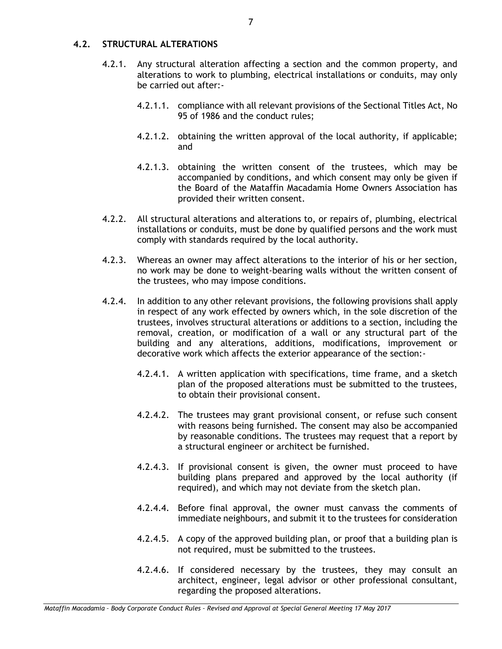## **4.2. STRUCTURAL ALTERATIONS**

- 4.2.1. Any structural alteration affecting a section and the common property, and alterations to work to plumbing, electrical installations or conduits, may only be carried out after:-
	- 4.2.1.1. compliance with all relevant provisions of the Sectional Titles Act, No 95 of 1986 and the conduct rules;
	- 4.2.1.2. obtaining the written approval of the local authority, if applicable; and
	- 4.2.1.3. obtaining the written consent of the trustees, which may be accompanied by conditions, and which consent may only be given if the Board of the Mataffin Macadamia Home Owners Association has provided their written consent.
- 4.2.2. All structural alterations and alterations to, or repairs of, plumbing, electrical installations or conduits, must be done by qualified persons and the work must comply with standards required by the local authority.
- 4.2.3. Whereas an owner may affect alterations to the interior of his or her section, no work may be done to weight-bearing walls without the written consent of the trustees, who may impose conditions.
- 4.2.4. In addition to any other relevant provisions, the following provisions shall apply in respect of any work effected by owners which, in the sole discretion of the trustees, involves structural alterations or additions to a section, including the removal, creation, or modification of a wall or any structural part of the building and any alterations, additions, modifications, improvement or decorative work which affects the exterior appearance of the section:-
	- 4.2.4.1. A written application with specifications, time frame, and a sketch plan of the proposed alterations must be submitted to the trustees, to obtain their provisional consent.
	- 4.2.4.2. The trustees may grant provisional consent, or refuse such consent with reasons being furnished. The consent may also be accompanied by reasonable conditions. The trustees may request that a report by a structural engineer or architect be furnished.
	- 4.2.4.3. If provisional consent is given, the owner must proceed to have building plans prepared and approved by the local authority (if required), and which may not deviate from the sketch plan.
	- 4.2.4.4. Before final approval, the owner must canvass the comments of immediate neighbours, and submit it to the trustees for consideration
	- 4.2.4.5. A copy of the approved building plan, or proof that a building plan is not required, must be submitted to the trustees.
	- 4.2.4.6. If considered necessary by the trustees, they may consult an architect, engineer, legal advisor or other professional consultant, regarding the proposed alterations.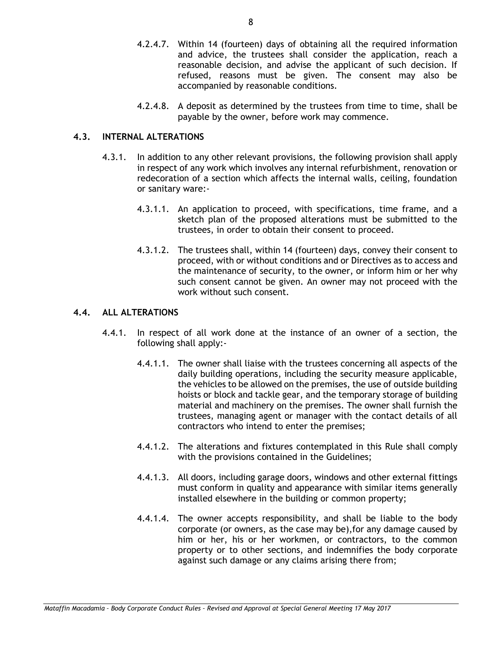- 4.2.4.7. Within 14 (fourteen) days of obtaining all the required information and advice, the trustees shall consider the application, reach a reasonable decision, and advise the applicant of such decision. If refused, reasons must be given. The consent may also be accompanied by reasonable conditions.
- 4.2.4.8. A deposit as determined by the trustees from time to time, shall be payable by the owner, before work may commence.

#### **4.3. INTERNAL ALTERATIONS**

- 4.3.1. In addition to any other relevant provisions, the following provision shall apply in respect of any work which involves any internal refurbishment, renovation or redecoration of a section which affects the internal walls, ceiling, foundation or sanitary ware:-
	- 4.3.1.1. An application to proceed, with specifications, time frame, and a sketch plan of the proposed alterations must be submitted to the trustees, in order to obtain their consent to proceed.
	- 4.3.1.2. The trustees shall, within 14 (fourteen) days, convey their consent to proceed, with or without conditions and or Directives as to access and the maintenance of security, to the owner, or inform him or her why such consent cannot be given. An owner may not proceed with the work without such consent.

#### **4.4. ALL ALTERATIONS**

- 4.4.1. In respect of all work done at the instance of an owner of a section, the following shall apply:-
	- 4.4.1.1. The owner shall liaise with the trustees concerning all aspects of the daily building operations, including the security measure applicable, the vehicles to be allowed on the premises, the use of outside building hoists or block and tackle gear, and the temporary storage of building material and machinery on the premises. The owner shall furnish the trustees, managing agent or manager with the contact details of all contractors who intend to enter the premises;
	- 4.4.1.2. The alterations and fixtures contemplated in this Rule shall comply with the provisions contained in the Guidelines;
	- 4.4.1.3. All doors, including garage doors, windows and other external fittings must conform in quality and appearance with similar items generally installed elsewhere in the building or common property;
	- 4.4.1.4. The owner accepts responsibility, and shall be liable to the body corporate (or owners, as the case may be),for any damage caused by him or her, his or her workmen, or contractors, to the common property or to other sections, and indemnifies the body corporate against such damage or any claims arising there from;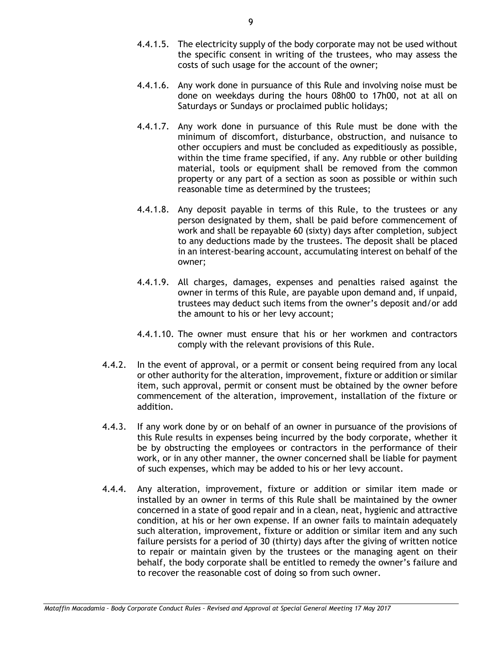- 4.4.1.5. The electricity supply of the body corporate may not be used without the specific consent in writing of the trustees, who may assess the costs of such usage for the account of the owner;
- 4.4.1.6. Any work done in pursuance of this Rule and involving noise must be done on weekdays during the hours 08h00 to 17h00, not at all on Saturdays or Sundays or proclaimed public holidays;
- 4.4.1.7. Any work done in pursuance of this Rule must be done with the minimum of discomfort, disturbance, obstruction, and nuisance to other occupiers and must be concluded as expeditiously as possible, within the time frame specified, if any. Any rubble or other building material, tools or equipment shall be removed from the common property or any part of a section as soon as possible or within such reasonable time as determined by the trustees;
- 4.4.1.8. Any deposit payable in terms of this Rule, to the trustees or any person designated by them, shall be paid before commencement of work and shall be repayable 60 (sixty) days after completion, subject to any deductions made by the trustees. The deposit shall be placed in an interest-bearing account, accumulating interest on behalf of the owner;
- 4.4.1.9. All charges, damages, expenses and penalties raised against the owner in terms of this Rule, are payable upon demand and, if unpaid, trustees may deduct such items from the owner's deposit and/or add the amount to his or her levy account;
- 4.4.1.10. The owner must ensure that his or her workmen and contractors comply with the relevant provisions of this Rule.
- 4.4.2. In the event of approval, or a permit or consent being required from any local or other authority for the alteration, improvement, fixture or addition or similar item, such approval, permit or consent must be obtained by the owner before commencement of the alteration, improvement, installation of the fixture or addition.
- 4.4.3. If any work done by or on behalf of an owner in pursuance of the provisions of this Rule results in expenses being incurred by the body corporate, whether it be by obstructing the employees or contractors in the performance of their work, or in any other manner, the owner concerned shall be liable for payment of such expenses, which may be added to his or her levy account.
- 4.4.4. Any alteration, improvement, fixture or addition or similar item made or installed by an owner in terms of this Rule shall be maintained by the owner concerned in a state of good repair and in a clean, neat, hygienic and attractive condition, at his or her own expense. If an owner fails to maintain adequately such alteration, improvement, fixture or addition or similar item and any such failure persists for a period of 30 (thirty) days after the giving of written notice to repair or maintain given by the trustees or the managing agent on their behalf, the body corporate shall be entitled to remedy the owner's failure and to recover the reasonable cost of doing so from such owner.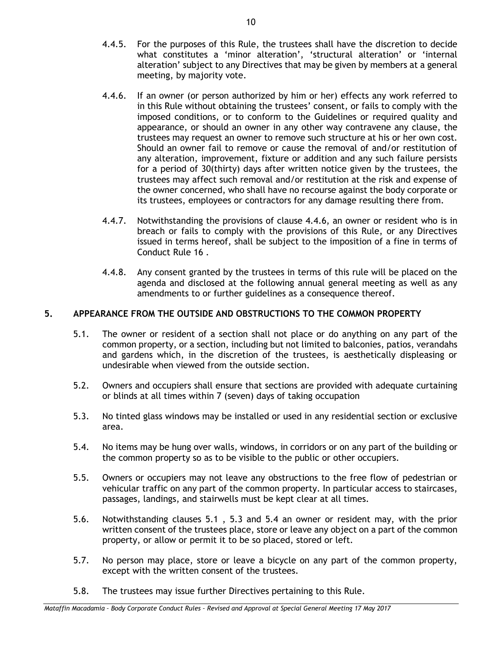- 4.4.5. For the purposes of this Rule, the trustees shall have the discretion to decide what constitutes a 'minor alteration', 'structural alteration' or 'internal alteration' subject to any Directives that may be given by members at a general meeting, by majority vote.
- 4.4.6. If an owner (or person authorized by him or her) effects any work referred to in this Rule without obtaining the trustees' consent, or fails to comply with the imposed conditions, or to conform to the Guidelines or required quality and appearance, or should an owner in any other way contravene any clause, the trustees may request an owner to remove such structure at his or her own cost. Should an owner fail to remove or cause the removal of and/or restitution of any alteration, improvement, fixture or addition and any such failure persists for a period of 30(thirty) days after written notice given by the trustees, the trustees may affect such removal and/or restitution at the risk and expense of the owner concerned, who shall have no recourse against the body corporate or its trustees, employees or contractors for any damage resulting there from.
- 4.4.7. Notwithstanding the provisions of clause 4.4.6, an owner or resident who is in breach or fails to comply with the provisions of this Rule, or any Directives issued in terms hereof, shall be subject to the imposition of a fine in terms of Conduct Rule [16](#page-17-0) .
- 4.4.8. Any consent granted by the trustees in terms of this rule will be placed on the agenda and disclosed at the following annual general meeting as well as any amendments to or further guidelines as a consequence thereof.

## <span id="page-12-3"></span>**5. APPEARANCE FROM THE OUTSIDE AND OBSTRUCTIONS TO THE COMMON PROPERTY**

- <span id="page-12-0"></span>5.1. The owner or resident of a section shall not place or do anything on any part of the common property, or a section, including but not limited to balconies, patios, verandahs and gardens which, in the discretion of the trustees, is aesthetically displeasing or undesirable when viewed from the outside section.
- 5.2. Owners and occupiers shall ensure that sections are provided with adequate curtaining or blinds at all times within 7 (seven) days of taking occupation
- <span id="page-12-1"></span>5.3. No tinted glass windows may be installed or used in any residential section or exclusive area.
- <span id="page-12-2"></span>5.4. No items may be hung over walls, windows, in corridors or on any part of the building or the common property so as to be visible to the public or other occupiers.
- 5.5. Owners or occupiers may not leave any obstructions to the free flow of pedestrian or vehicular traffic on any part of the common property. In particular access to staircases, passages, landings, and stairwells must be kept clear at all times.
- 5.6. Notwithstanding clauses [5.1](#page-12-0) , [5.3](#page-12-1) and [5.4](#page-12-2) an owner or resident may, with the prior written consent of the trustees place, store or leave any object on a part of the common property, or allow or permit it to be so placed, stored or left.
- 5.7. No person may place, store or leave a bicycle on any part of the common property, except with the written consent of the trustees.
- 5.8. The trustees may issue further Directives pertaining to this Rule.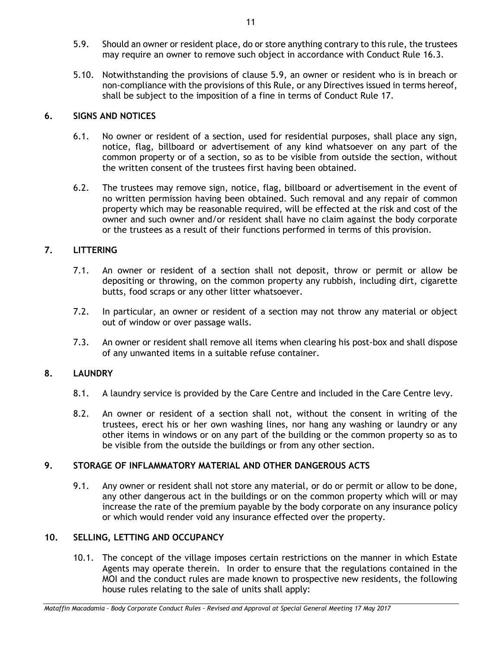- 5.9. Should an owner or resident place, do or store anything contrary to this rule, the trustees may require an owner to remove such object in accordance with Conduct Rule 16.3.
- 5.10. Notwithstanding the provisions of clause 5.9, an owner or resident who is in breach or non-compliance with the provisions of this Rule, or any Directives issued in terms hereof, shall be subject to the imposition of a fine in terms of Conduct Rule [17.](#page-18-0)

## **6. SIGNS AND NOTICES**

- 6.1. No owner or resident of a section, used for residential purposes, shall place any sign, notice, flag, billboard or advertisement of any kind whatsoever on any part of the common property or of a section, so as to be visible from outside the section, without the written consent of the trustees first having been obtained.
- 6.2. The trustees may remove sign, notice, flag, billboard or advertisement in the event of no written permission having been obtained. Such removal and any repair of common property which may be reasonable required, will be effected at the risk and cost of the owner and such owner and/or resident shall have no claim against the body corporate or the trustees as a result of their functions performed in terms of this provision.

## **7. LITTERING**

- 7.1. An owner or resident of a section shall not deposit, throw or permit or allow be depositing or throwing, on the common property any rubbish, including dirt, cigarette butts, food scraps or any other litter whatsoever.
- 7.2. In particular, an owner or resident of a section may not throw any material or object out of window or over passage walls.
- 7.3. An owner or resident shall remove all items when clearing his post-box and shall dispose of any unwanted items in a suitable refuse container.

## **8. LAUNDRY**

- 8.1. A laundry service is provided by the Care Centre and included in the Care Centre levy.
- 8.2. An owner or resident of a section shall not, without the consent in writing of the trustees, erect his or her own washing lines, nor hang any washing or laundry or any other items in windows or on any part of the building or the common property so as to be visible from the outside the buildings or from any other section.

## **9. STORAGE OF INFLAMMATORY MATERIAL AND OTHER DANGEROUS ACTS**

9.1. Any owner or resident shall not store any material, or do or permit or allow to be done, any other dangerous act in the buildings or on the common property which will or may increase the rate of the premium payable by the body corporate on any insurance policy or which would render void any insurance effected over the property.

## **10. SELLING, LETTING AND OCCUPANCY**

10.1. The concept of the village imposes certain restrictions on the manner in which Estate Agents may operate therein. In order to ensure that the regulations contained in the MOI and the conduct rules are made known to prospective new residents, the following house rules relating to the sale of units shall apply:

*Mataffin Macadamia – Body Corporate Conduct Rules – Revised and Approval at Special General Meeting 17 May 2017*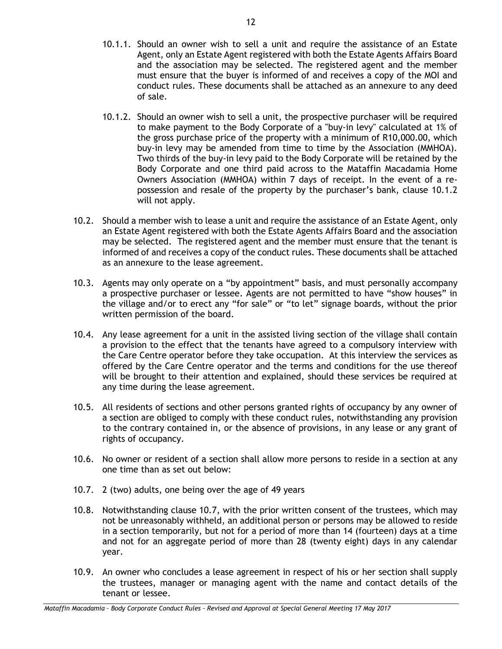- 10.1.1. Should an owner wish to sell a unit and require the assistance of an Estate Agent, only an Estate Agent registered with both the Estate Agents Affairs Board and the association may be selected. The registered agent and the member must ensure that the buyer is informed of and receives a copy of the MOI and conduct rules. These documents shall be attached as an annexure to any deed of sale.
- 10.1.2. Should an owner wish to sell a unit, the prospective purchaser will be required to make payment to the Body Corporate of a "buy-in levy" calculated at 1% of the gross purchase price of the property with a minimum of R10,000.00, which buy-in levy may be amended from time to time by the Association (MMHOA). Two thirds of the buy-in levy paid to the Body Corporate will be retained by the Body Corporate and one third paid across to the Mataffin Macadamia Home Owners Association (MMHOA) within 7 days of receipt. In the event of a repossession and resale of the property by the purchaser's bank, clause 10.1.2 will not apply.
- 10.2. Should a member wish to lease a unit and require the assistance of an Estate Agent, only an Estate Agent registered with both the Estate Agents Affairs Board and the association may be selected. The registered agent and the member must ensure that the tenant is informed of and receives a copy of the conduct rules. These documents shall be attached as an annexure to the lease agreement.
- 10.3. Agents may only operate on a "by appointment" basis, and must personally accompany a prospective purchaser or lessee. Agents are not permitted to have "show houses" in the village and/or to erect any "for sale" or "to let" signage boards, without the prior written permission of the board.
- 10.4. Any lease agreement for a unit in the assisted living section of the village shall contain a provision to the effect that the tenants have agreed to a compulsory interview with the Care Centre operator before they take occupation. At this interview the services as offered by the Care Centre operator and the terms and conditions for the use thereof will be brought to their attention and explained, should these services be required at any time during the lease agreement.
- 10.5. All residents of sections and other persons granted rights of occupancy by any owner of a section are obliged to comply with these conduct rules, notwithstanding any provision to the contrary contained in, or the absence of provisions, in any lease or any grant of rights of occupancy.
- 10.6. No owner or resident of a section shall allow more persons to reside in a section at any one time than as set out below:
- <span id="page-14-0"></span>10.7. 2 (two) adults, one being over the age of 49 years
- 10.8. Notwithstanding clause [10.7,](#page-14-0) with the prior written consent of the trustees, which may not be unreasonably withheld, an additional person or persons may be allowed to reside in a section temporarily, but not for a period of more than 14 (fourteen) days at a time and not for an aggregate period of more than 28 (twenty eight) days in any calendar year.
- 10.9. An owner who concludes a lease agreement in respect of his or her section shall supply the trustees, manager or managing agent with the name and contact details of the tenant or lessee.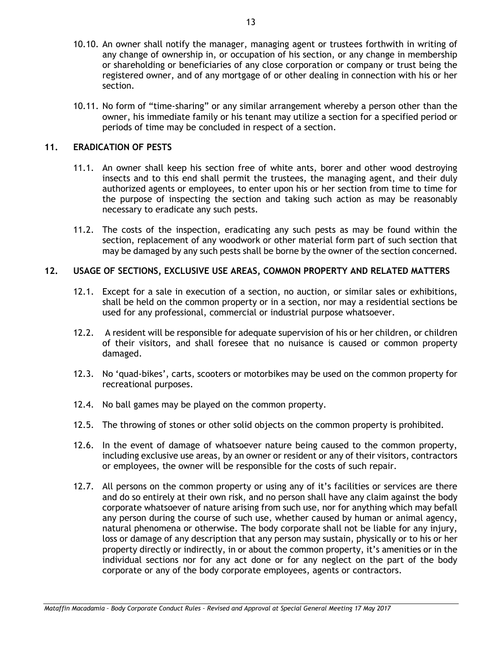- 10.10. An owner shall notify the manager, managing agent or trustees forthwith in writing of any change of ownership in, or occupation of his section, or any change in membership or shareholding or beneficiaries of any close corporation or company or trust being the registered owner, and of any mortgage of or other dealing in connection with his or her section.
- 10.11. No form of "time-sharing" or any similar arrangement whereby a person other than the owner, his immediate family or his tenant may utilize a section for a specified period or periods of time may be concluded in respect of a section.

## **11. ERADICATION OF PESTS**

- 11.1. An owner shall keep his section free of white ants, borer and other wood destroying insects and to this end shall permit the trustees, the managing agent, and their duly authorized agents or employees, to enter upon his or her section from time to time for the purpose of inspecting the section and taking such action as may be reasonably necessary to eradicate any such pests.
- 11.2. The costs of the inspection, eradicating any such pests as may be found within the section, replacement of any woodwork or other material form part of such section that may be damaged by any such pests shall be borne by the owner of the section concerned.

#### **12. USAGE OF SECTIONS, EXCLUSIVE USE AREAS, COMMON PROPERTY AND RELATED MATTERS**

- 12.1. Except for a sale in execution of a section, no auction, or similar sales or exhibitions, shall be held on the common property or in a section, nor may a residential sections be used for any professional, commercial or industrial purpose whatsoever.
- 12.2. A resident will be responsible for adequate supervision of his or her children, or children of their visitors, and shall foresee that no nuisance is caused or common property damaged.
- 12.3. No 'quad-bikes', carts, scooters or motorbikes may be used on the common property for recreational purposes.
- 12.4. No ball games may be played on the common property.
- 12.5. The throwing of stones or other solid objects on the common property is prohibited.
- 12.6. In the event of damage of whatsoever nature being caused to the common property, including exclusive use areas, by an owner or resident or any of their visitors, contractors or employees, the owner will be responsible for the costs of such repair.
- 12.7. All persons on the common property or using any of it's facilities or services are there and do so entirely at their own risk, and no person shall have any claim against the body corporate whatsoever of nature arising from such use, nor for anything which may befall any person during the course of such use, whether caused by human or animal agency, natural phenomena or otherwise. The body corporate shall not be liable for any injury, loss or damage of any description that any person may sustain, physically or to his or her property directly or indirectly, in or about the common property, it's amenities or in the individual sections nor for any act done or for any neglect on the part of the body corporate or any of the body corporate employees, agents or contractors.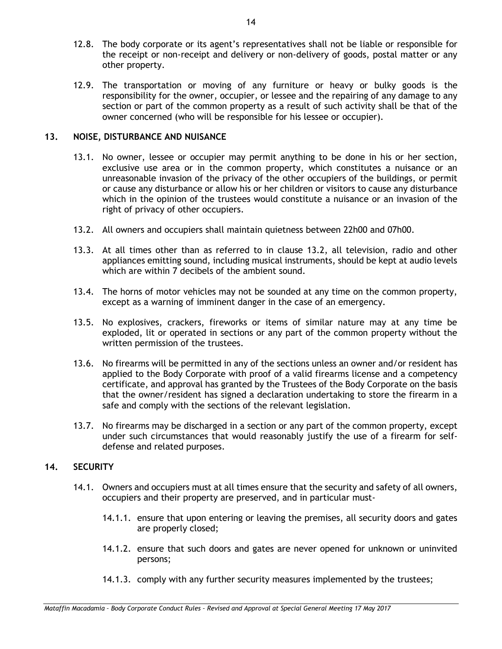- 12.8. The body corporate or its agent's representatives shall not be liable or responsible for the receipt or non-receipt and delivery or non-delivery of goods, postal matter or any other property.
- 12.9. The transportation or moving of any furniture or heavy or bulky goods is the responsibility for the owner, occupier, or lessee and the repairing of any damage to any section or part of the common property as a result of such activity shall be that of the owner concerned (who will be responsible for his lessee or occupier).

## **13. NOISE, DISTURBANCE AND NUISANCE**

- 13.1. No owner, lessee or occupier may permit anything to be done in his or her section, exclusive use area or in the common property, which constitutes a nuisance or an unreasonable invasion of the privacy of the other occupiers of the buildings, or permit or cause any disturbance or allow his or her children or visitors to cause any disturbance which in the opinion of the trustees would constitute a nuisance or an invasion of the right of privacy of other occupiers.
- <span id="page-16-0"></span>13.2. All owners and occupiers shall maintain quietness between 22h00 and 07h00.
- 13.3. At all times other than as referred to in clause [13.2,](#page-16-0) all television, radio and other appliances emitting sound, including musical instruments, should be kept at audio levels which are within 7 decibels of the ambient sound.
- 13.4. The horns of motor vehicles may not be sounded at any time on the common property, except as a warning of imminent danger in the case of an emergency.
- 13.5. No explosives, crackers, fireworks or items of similar nature may at any time be exploded, lit or operated in sections or any part of the common property without the written permission of the trustees.
- 13.6. No firearms will be permitted in any of the sections unless an owner and/or resident has applied to the Body Corporate with proof of a valid firearms license and a competency certificate, and approval has granted by the Trustees of the Body Corporate on the basis that the owner/resident has signed a declaration undertaking to store the firearm in a safe and comply with the sections of the relevant legislation.
- 13.7. No firearms may be discharged in a section or any part of the common property, except under such circumstances that would reasonably justify the use of a firearm for selfdefense and related purposes.

#### **14. SECURITY**

- 14.1. Owners and occupiers must at all times ensure that the security and safety of all owners, occupiers and their property are preserved, and in particular must-
	- 14.1.1. ensure that upon entering or leaving the premises, all security doors and gates are properly closed;
	- 14.1.2. ensure that such doors and gates are never opened for unknown or uninvited persons;
	- 14.1.3. comply with any further security measures implemented by the trustees;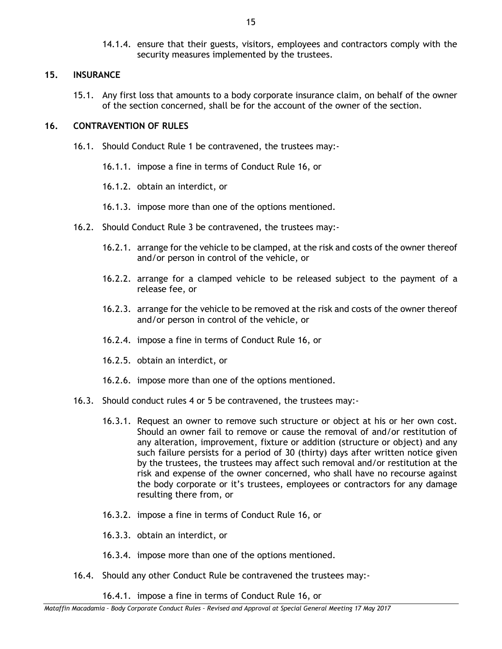14.1.4. ensure that their guests, visitors, employees and contractors comply with the security measures implemented by the trustees.

#### **15. INSURANCE**

15.1. Any first loss that amounts to a body corporate insurance claim, on behalf of the owner of the section concerned, shall be for the account of the owner of the section.

## <span id="page-17-0"></span>**16. CONTRAVENTION OF RULES**

- 16.1. Should Conduct Rule [1](#page-6-1) be contravened, the trustees may:-
	- 16.1.1. impose a fine in terms of Conduct Rule [16,](#page-17-0) or
	- 16.1.2. obtain an interdict, or
	- 16.1.3. impose more than one of the options mentioned.
- <span id="page-17-1"></span>16.2. Should Conduct Rule [3](#page-7-0) be contravened, the trustees may:-
	- 16.2.1. arrange for the vehicle to be clamped, at the risk and costs of the owner thereof and/or person in control of the vehicle, or
	- 16.2.2. arrange for a clamped vehicle to be released subject to the payment of a release fee, or
	- 16.2.3. arrange for the vehicle to be removed at the risk and costs of the owner thereof and/or person in control of the vehicle, or
	- 16.2.4. impose a fine in terms of Conduct Rule [16,](#page-17-0) or
	- 16.2.5. obtain an interdict, or
	- 16.2.6. impose more than one of the options mentioned.
- 16.3. Should conduct rules [4](#page-8-0) or [5](#page-12-3) be contravened, the trustees may:-
	- 16.3.1. Request an owner to remove such structure or object at his or her own cost. Should an owner fail to remove or cause the removal of and/or restitution of any alteration, improvement, fixture or addition (structure or object) and any such failure persists for a period of 30 (thirty) days after written notice given by the trustees, the trustees may affect such removal and/or restitution at the risk and expense of the owner concerned, who shall have no recourse against the body corporate or it's trustees, employees or contractors for any damage resulting there from, or
	- 16.3.2. impose a fine in terms of Conduct Rule [16,](#page-17-0) or
	- 16.3.3. obtain an interdict, or
	- 16.3.4. impose more than one of the options mentioned.
- 16.4. Should any other Conduct Rule be contravened the trustees may:-

16.4.1. impose a fine in terms of Conduct Rule [16,](#page-17-0) or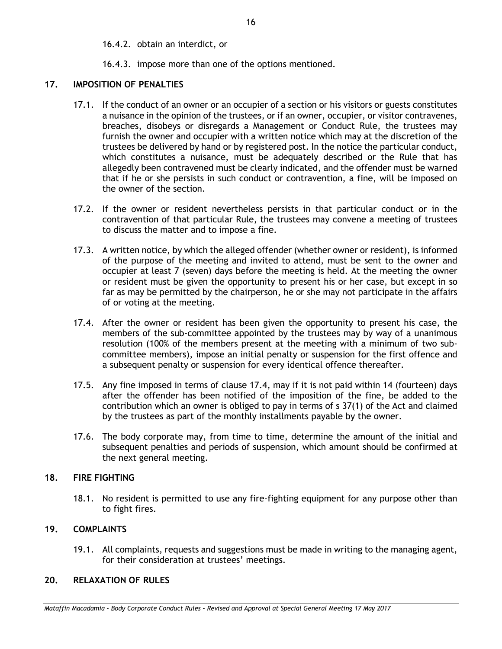16.4.2. obtain an interdict, or

## 16.4.3. impose more than one of the options mentioned.

## <span id="page-18-0"></span>**17. IMPOSITION OF PENALTIES**

- 17.1. If the conduct of an owner or an occupier of a section or his visitors or guests constitutes a nuisance in the opinion of the trustees, or if an owner, occupier, or visitor contravenes, breaches, disobeys or disregards a Management or Conduct Rule, the trustees may furnish the owner and occupier with a written notice which may at the discretion of the trustees be delivered by hand or by registered post. In the notice the particular conduct, which constitutes a nuisance, must be adequately described or the Rule that has allegedly been contravened must be clearly indicated, and the offender must be warned that if he or she persists in such conduct or contravention, a fine, will be imposed on the owner of the section.
- 17.2. If the owner or resident nevertheless persists in that particular conduct or in the contravention of that particular Rule, the trustees may convene a meeting of trustees to discuss the matter and to impose a fine.
- 17.3. A written notice, by which the alleged offender (whether owner or resident), is informed of the purpose of the meeting and invited to attend, must be sent to the owner and occupier at least 7 (seven) days before the meeting is held. At the meeting the owner or resident must be given the opportunity to present his or her case, but except in so far as may be permitted by the chairperson, he or she may not participate in the affairs of or voting at the meeting.
- <span id="page-18-1"></span>17.4. After the owner or resident has been given the opportunity to present his case, the members of the sub-committee appointed by the trustees may by way of a unanimous resolution (100% of the members present at the meeting with a minimum of two subcommittee members), impose an initial penalty or suspension for the first offence and a subsequent penalty or suspension for every identical offence thereafter.
- 17.5. Any fine imposed in terms of clause [17.4,](#page-18-1) may if it is not paid within 14 (fourteen) days after the offender has been notified of the imposition of the fine, be added to the contribution which an owner is obliged to pay in terms of s 37(1) of the Act and claimed by the trustees as part of the monthly installments payable by the owner.
- 17.6. The body corporate may, from time to time, determine the amount of the initial and subsequent penalties and periods of suspension, which amount should be confirmed at the next general meeting.

## **18. FIRE FIGHTING**

18.1. No resident is permitted to use any fire-fighting equipment for any purpose other than to fight fires.

## **19. COMPLAINTS**

19.1. All complaints, requests and suggestions must be made in writing to the managing agent, for their consideration at trustees' meetings.

## **20. RELAXATION OF RULES**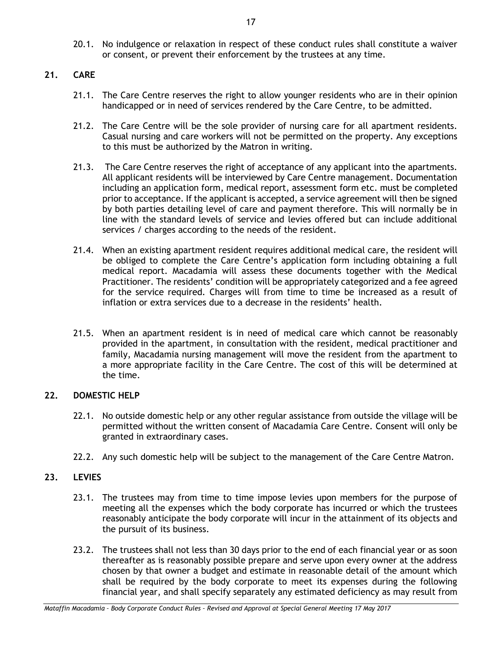20.1. No indulgence or relaxation in respect of these conduct rules shall constitute a waiver or consent, or prevent their enforcement by the trustees at any time.

## **21. CARE**

- 21.1. The Care Centre reserves the right to allow younger residents who are in their opinion handicapped or in need of services rendered by the Care Centre, to be admitted.
- 21.2. The Care Centre will be the sole provider of nursing care for all apartment residents. Casual nursing and care workers will not be permitted on the property. Any exceptions to this must be authorized by the Matron in writing.
- 21.3. The Care Centre reserves the right of acceptance of any applicant into the apartments. All applicant residents will be interviewed by Care Centre management. Documentation including an application form, medical report, assessment form etc. must be completed prior to acceptance. If the applicant is accepted, a service agreement will then be signed by both parties detailing level of care and payment therefore. This will normally be in line with the standard levels of service and levies offered but can include additional services / charges according to the needs of the resident.
- 21.4. When an existing apartment resident requires additional medical care, the resident will be obliged to complete the Care Centre's application form including obtaining a full medical report. Macadamia will assess these documents together with the Medical Practitioner. The residents' condition will be appropriately categorized and a fee agreed for the service required. Charges will from time to time be increased as a result of inflation or extra services due to a decrease in the residents' health.
- 21.5. When an apartment resident is in need of medical care which cannot be reasonably provided in the apartment, in consultation with the resident, medical practitioner and family, Macadamia nursing management will move the resident from the apartment to a more appropriate facility in the Care Centre. The cost of this will be determined at the time.

## **22. DOMESTIC HELP**

- 22.1. No outside domestic help or any other regular assistance from outside the village will be permitted without the written consent of Macadamia Care Centre. Consent will only be granted in extraordinary cases.
- 22.2. Any such domestic help will be subject to the management of the Care Centre Matron.

## **23. LEVIES**

- 23.1. The trustees may from time to time impose levies upon members for the purpose of meeting all the expenses which the body corporate has incurred or which the trustees reasonably anticipate the body corporate will incur in the attainment of its objects and the pursuit of its business.
- 23.2. The trustees shall not less than 30 days prior to the end of each financial year or as soon thereafter as is reasonably possible prepare and serve upon every owner at the address chosen by that owner a budget and estimate in reasonable detail of the amount which shall be required by the body corporate to meet its expenses during the following financial year, and shall specify separately any estimated deficiency as may result from

*Mataffin Macadamia – Body Corporate Conduct Rules – Revised and Approval at Special General Meeting 17 May 2017*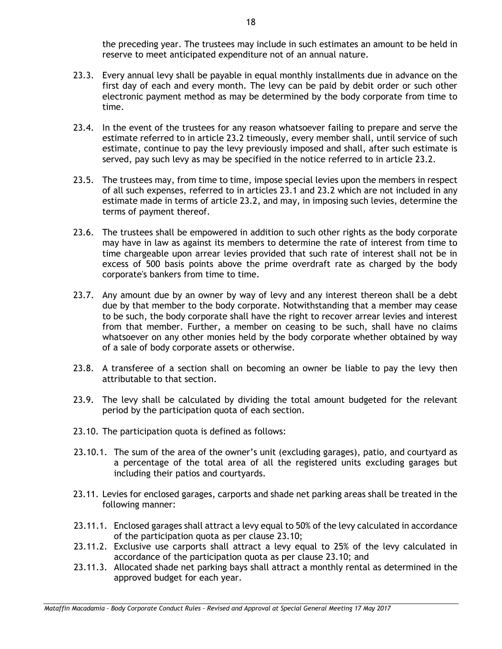the preceding year. The trustees may include in such estimates an amount to be held in reserve to meet anticipated expenditure not of an annual nature.

- 23.3. Every annual levy shall be payable in equal monthly installments due in advance on the first day of each and every month. The levy can be paid by debit order or such other electronic payment method as may be determined by the body corporate from time to time.
- 23.4. In the event of the trustees for any reason whatsoever failing to prepare and serve the estimate referred to in article 23.2 timeously, every member shall, until service of such estimate, continue to pay the levy previously imposed and shall, after such estimate is served, pay such levy as may be specified in the notice referred to in article 23.2.
- 23.5. The trustees may, from time to time, impose special levies upon the members in respect of all such expenses, referred to in articles 23.1 and 23.2 which are not included in any estimate made in terms of article 23.2, and may, in imposing such levies, determine the terms of payment thereof.
- 23.6. The trustees shall be empowered in addition to such other rights as the body corporate may have in law as against its members to determine the rate of interest from time to time chargeable upon arrear levies provided that such rate of interest shall not be in excess of 500 basis points above the prime overdraft rate as charged by the body corporate's bankers from time to time.
- 23.7. Any amount due by an owner by way of levy and any interest thereon shall be a debt due by that member to the body corporate. Notwithstanding that a member may cease to be such, the body corporate shall have the right to recover arrear levies and interest from that member. Further, a member on ceasing to be such, shall have no claims whatsoever on any other monies held by the body corporate whether obtained by way of a sale of body corporate assets or otherwise.
- 23.8. A transferee of a section shall on becoming an owner be liable to pay the levy then attributable to that section.
- 23.9. The levy shall be calculated by dividing the total amount budgeted for the relevant period by the participation quota of each section.
- <span id="page-20-0"></span>23.10. The participation quota is defined as follows:
- 23.10.1. The sum of the area of the owner's unit (excluding garages), patio, and courtyard as a percentage of the total area of all the registered units excluding garages but including their patios and courtyards.
- 23.11. Levies for enclosed garages, carports and shade net parking areas shall be treated in the following manner:
- 23.11.1. Enclosed garages shall attract a levy equal to 50% of the levy calculated in accordance of the participation quota as per clause [23.10;](#page-20-0)
- 23.11.2. Exclusive use carports shall attract a levy equal to 25% of the levy calculated in accordance of the participation quota as per clause [23.10;](#page-20-0) and
- 23.11.3. Allocated shade net parking bays shall attract a monthly rental as determined in the approved budget for each year.